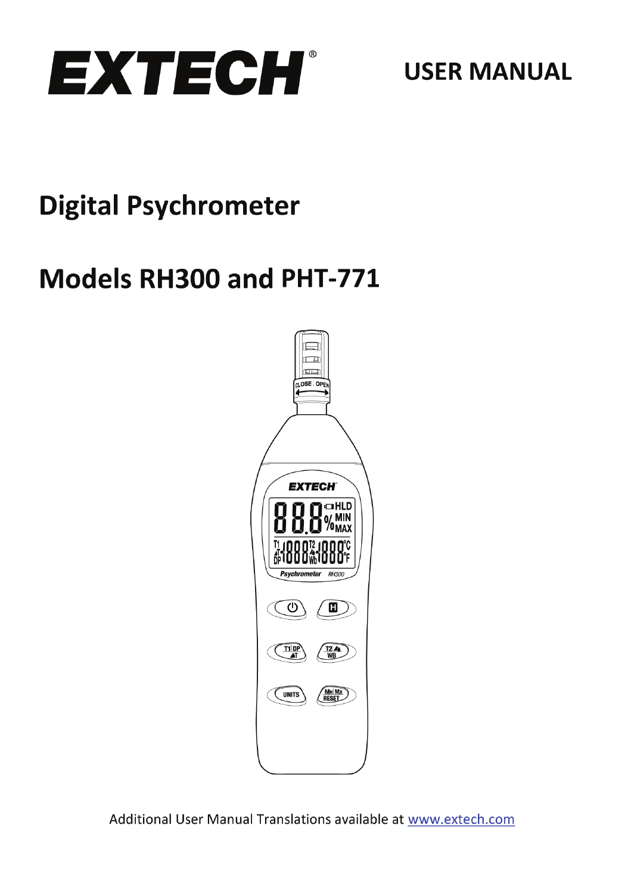

**USER MANUAL** 

# **Digital Psychrometer**

# Models RH300 and PHT-771



Additional User Manual Translations available at www.extech.com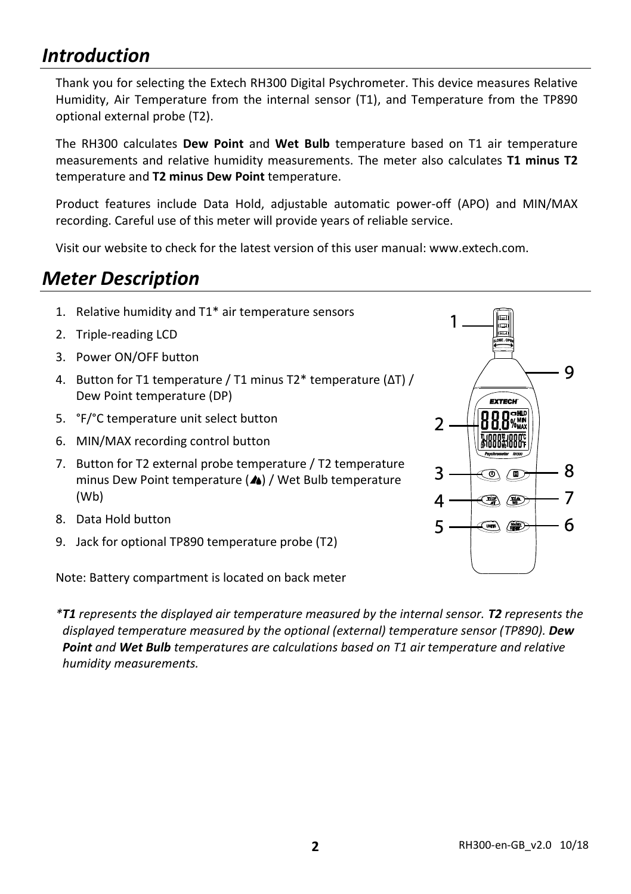### *Introduction*

Thank you for selecting the Extech RH300 Digital Psychrometer. This device measures Relative Humidity, Air Temperature from the internal sensor (T1), and Temperature from the TP890 optional external probe (T2).

The RH300 calculates **Dew Point** and **Wet Bulb** temperature based on T1 air temperature measurements and relative humidity measurements. The meter also calculates **T1 minus T2** temperature and **T2 minus Dew Point** temperature.

Product features include Data Hold, adjustable automatic power-off (APO) and MIN/MAX recording. Careful use of this meter will provide years of reliable service.

Visit our website to check for the latest version of this user manual: www.extech.com.

### *Meter Description*

- 1. Relative humidity and T1\* air temperature sensors
- 2. Triple-reading LCD
- 3. Power ON/OFF button
- 4. Button for T1 temperature / T1 minus T2\* temperature (ΔT) / Dew Point temperature (DP)
- 5. °F/°C temperature unit select button
- 6. MIN/MAX recording control button
- 7. Button for T2 external probe temperature / T2 temperature minus Dew Point temperature  $(A)$  / Wet Bulb temperature (Wb)
- 8. Data Hold button
- 9. Jack for optional TP890 temperature probe (T2)

Note: Battery compartment is located on back meter

*\*T1 represents the displayed air temperature measured by the internal sensor. T2 represents the displayed temperature measured by the optional (external) temperature sensor (TP890). Dew Point and Wet Bulb temperatures are calculations based on T1 air temperature and relative humidity measurements.*

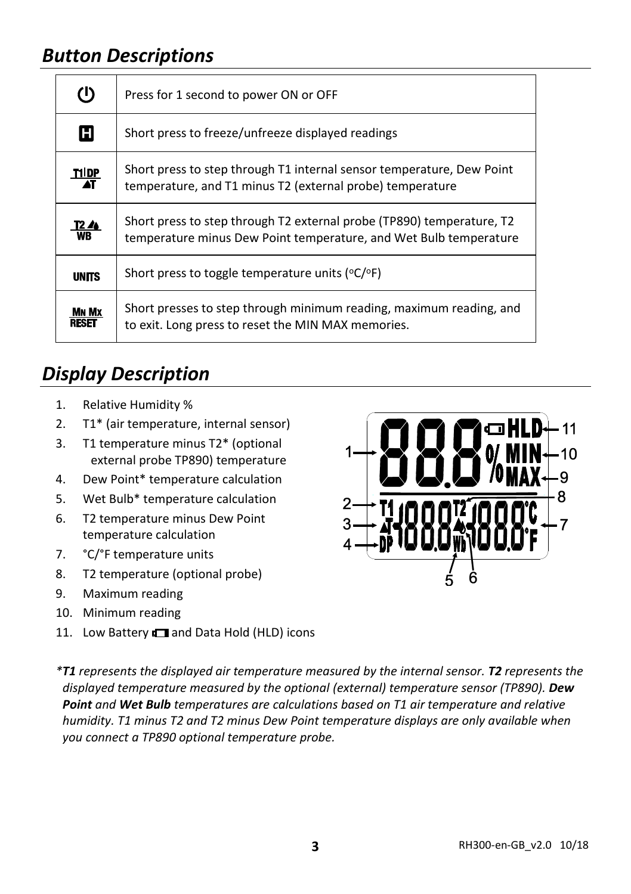## *Button Descriptions*

| $\Phi$           | Press for 1 second to power ON or OFF                                                                                                      |  |  |
|------------------|--------------------------------------------------------------------------------------------------------------------------------------------|--|--|
| H                | Short press to freeze/unfreeze displayed readings                                                                                          |  |  |
| 교육               | Short press to step through T1 internal sensor temperature, Dew Point<br>temperature, and T1 minus T2 (external probe) temperature         |  |  |
| $\frac{12}{100}$ | Short press to step through T2 external probe (TP890) temperature, T2<br>temperature minus Dew Point temperature, and Wet Bulb temperature |  |  |
| <b>UNITS</b>     | Short press to toggle temperature units ( $^{\circ}C/\ ^{\circ}F$ )                                                                        |  |  |
| Mn Mx<br>RESE    | Short presses to step through minimum reading, maximum reading, and<br>to exit. Long press to reset the MIN MAX memories.                  |  |  |

## *Display Description*

- 1. Relative Humidity %
- 2. T1\* (air temperature, internal sensor)
- 3. T1 temperature minus T2\* (optional external probe TP890) temperature
- 4. Dew Point\* temperature calculation
- 5. Wet Bulb\* temperature calculation
- 6. T2 temperature minus Dew Point temperature calculation
- 7. °C/°F temperature units
- 8. T2 temperature (optional probe)
- 9. Maximum reading
- 10. Minimum reading
- 11. Low Battery **I** and Data Hold (HLD) icons



*\*T1 represents the displayed air temperature measured by the internal sensor. T2 represents the displayed temperature measured by the optional (external) temperature sensor (TP890). Dew Point and Wet Bulb temperatures are calculations based on T1 air temperature and relative humidity. T1 minus T2 and T2 minus Dew Point temperature displays are only available when you connect a TP890 optional temperature probe.*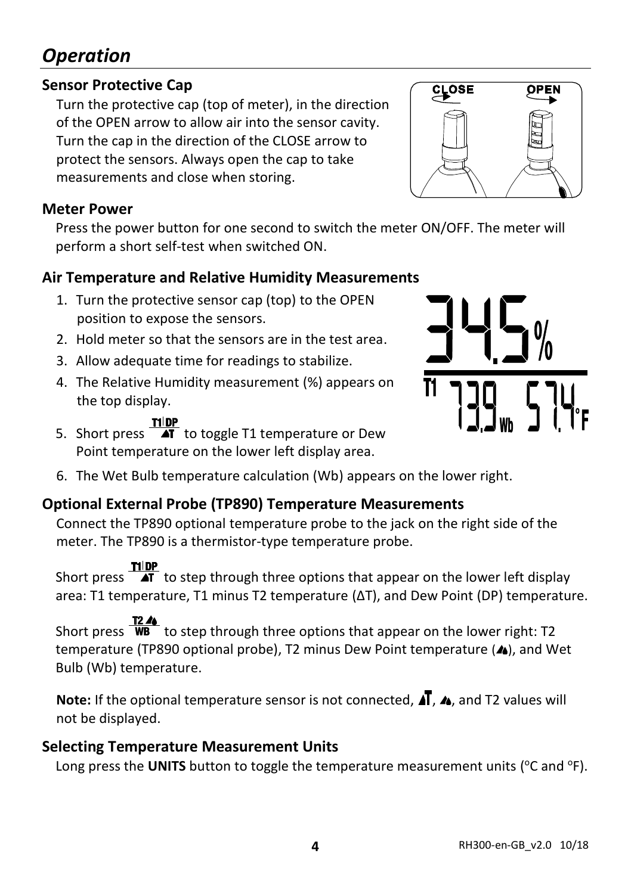# *Operation*

### **Sensor Protective Cap**

Turn the protective cap (top of meter), in the direction of the OPEN arrow to allow air into the sensor cavity. Turn the cap in the direction of the CLOSE arrow to protect the sensors. Always open the cap to take measurements and close when storing.

### **Meter Power**

Press the power button for one second to switch the meter ON/OFF. The meter will perform a short self-test when switched ON.

### **Air Temperature and Relative Humidity Measurements**

- 1. Turn the protective sensor cap (top) to the OPEN position to expose the sensors.
- 2. Hold meter so that the sensors are in the test area.
- 3. Allow adequate time for readings to stabilize.
- 4. The Relative Humidity measurement (%) appears on the top display.
- **THEP**<br>5. Short press **T** to toggle T1 temperature or Dew Point temperature on the lower left display area.
- 6. The Wet Bulb temperature calculation (Wb) appears on the lower right.

### **Optional External Probe (TP890) Temperature Measurements**

Connect the TP890 optional temperature probe to the jack on the right side of the meter. The TP890 is a thermistor-type temperature probe.

Short press  $\frac{\text{min}}{\text{4T}}$  to step through three options that appear on the lower left display area: T1 temperature, T1 minus T2 temperature (ΔT), and Dew Point (DP) temperature.

Short press  $\frac{16.5}{4}$  to step through three options that appear on the lower right: T2 temperature (TP890 optional probe), T2 minus Dew Point temperature (4), and Wet Bulb (Wb) temperature.

**Note:** If the optional temperature sensor is not connected,  $\vec{A}$ ,  $\vec{A}$ , and T2 values will not be displayed.

### **Selecting Temperature Measurement Units**

Long press the UNITS button to toggle the temperature measurement units (°C and °F).



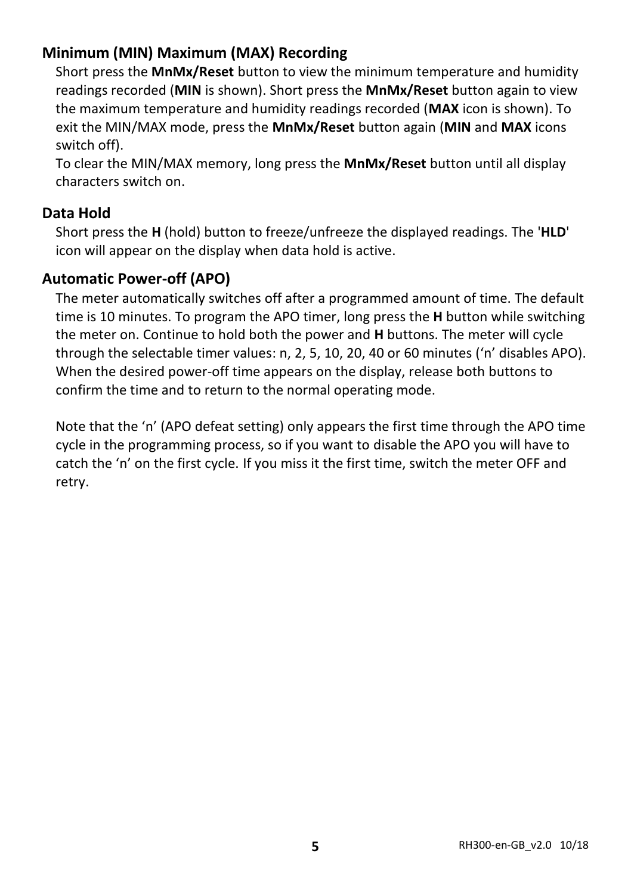### **Minimum (MIN) Maximum (MAX) Recording**

Short press the **MnMx/Reset** button to view the minimum temperature and humidity readings recorded (**MIN** is shown). Short press the **MnMx/Reset** button again to view the maximum temperature and humidity readings recorded (**MAX** icon is shown). To exit the MIN/MAX mode, press the **MnMx/Reset** button again (**MIN** and **MAX** icons switch off).

To clear the MIN/MAX memory, long press the **MnMx/Reset** button until all display characters switch on.

#### **Data Hold**

Short press the **H** (hold) button to freeze/unfreeze the displayed readings. The '**HLD**' icon will appear on the display when data hold is active.

### **Automatic Power-off (APO)**

The meter automatically switches off after a programmed amount of time. The default time is 10 minutes. To program the APO timer, long press the **H** button while switching the meter on. Continue to hold both the power and **H** buttons. The meter will cycle through the selectable timer values: n, 2, 5, 10, 20, 40 or 60 minutes ('n' disables APO). When the desired power-off time appears on the display, release both buttons to confirm the time and to return to the normal operating mode.

Note that the 'n' (APO defeat setting) only appears the first time through the APO time cycle in the programming process, so if you want to disable the APO you will have to catch the 'n' on the first cycle. If you miss it the first time, switch the meter OFF and retry.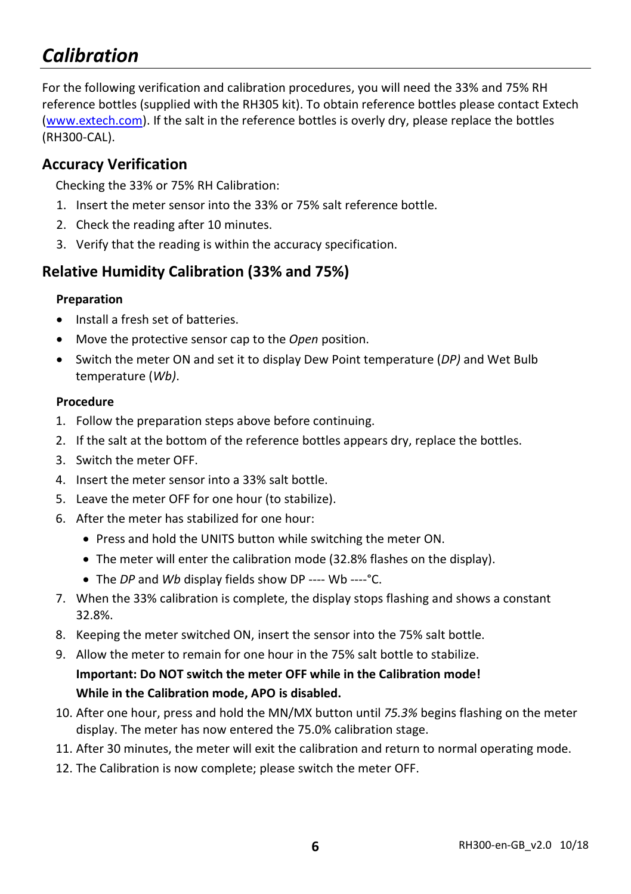## *Calibration*

For the following verification and calibration procedures, you will need the 33% and 75% RH reference bottles (supplied with the RH305 kit). To obtain reference bottles please contact Extech [\(www.extech.com\)](http://www.extech.com/). If the salt in the reference bottles is overly dry, please replace the bottles (RH300-CAL).

### **Accuracy Verification**

Checking the 33% or 75% RH Calibration:

- 1. Insert the meter sensor into the 33% or 75% salt reference bottle.
- 2. Check the reading after 10 minutes.
- 3. Verify that the reading is within the accuracy specification.

### **Relative Humidity Calibration (33% and 75%)**

#### **Preparation**

- Install a fresh set of batteries.
- Move the protective sensor cap to the *Open* position.
- Switch the meter ON and set it to display Dew Point temperature (*DP)* and Wet Bulb temperature (*Wb)*.

#### **Procedure**

- 1. Follow the preparation steps above before continuing.
- 2. If the salt at the bottom of the reference bottles appears dry, replace the bottles.
- 3. Switch the meter OFF.
- 4. Insert the meter sensor into a 33% salt bottle.
- 5. Leave the meter OFF for one hour (to stabilize).
- 6. After the meter has stabilized for one hour:
	- Press and hold the UNITS button while switching the meter ON.
	- The meter will enter the calibration mode (32.8% flashes on the display).
	- The *DP* and *Wb* display fields show DP ---- Wb ----°C.
- 7. When the 33% calibration is complete, the display stops flashing and shows a constant 32.8%.
- 8. Keeping the meter switched ON, insert the sensor into the 75% salt bottle.
- 9. Allow the meter to remain for one hour in the 75% salt bottle to stabilize. **Important: Do NOT switch the meter OFF while in the Calibration mode! While in the Calibration mode, APO is disabled.**
- 10. After one hour, press and hold the MN/MX button until *75.3%* begins flashing on the meter display. The meter has now entered the 75.0% calibration stage.
- 11. After 30 minutes, the meter will exit the calibration and return to normal operating mode.
- 12. The Calibration is now complete; please switch the meter OFF.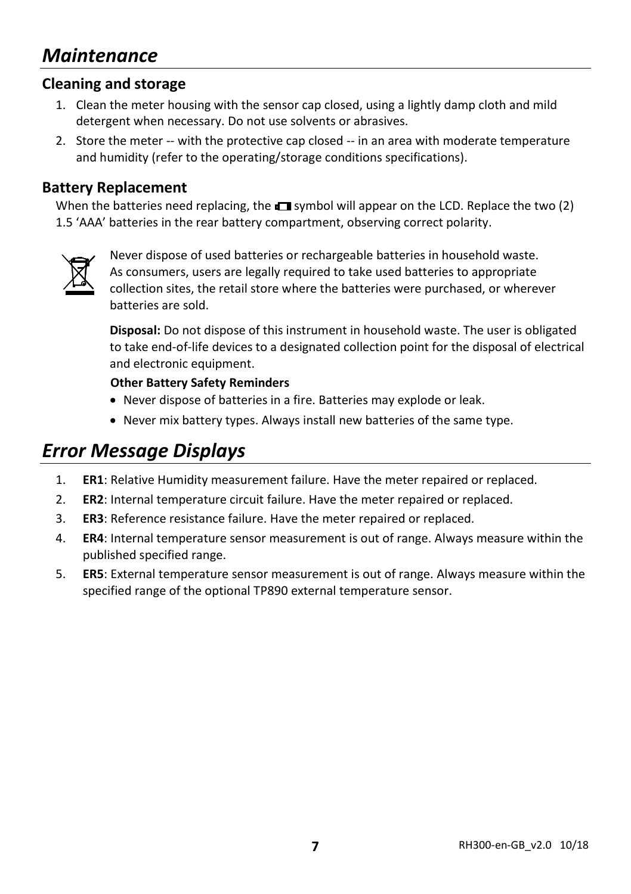### *Maintenance*

#### **Cleaning and storage**

- 1. Clean the meter housing with the sensor cap closed, using a lightly damp cloth and mild detergent when necessary. Do not use solvents or abrasives.
- 2. Store the meter -- with the protective cap closed -- in an area with moderate temperature and humidity (refer to the operating/storage conditions specifications).

#### **Battery Replacement**

When the batteries need replacing, the  $\Box$  symbol will appear on the LCD. Replace the two (2) 1.5 'AAA' batteries in the rear battery compartment, observing correct polarity.



Never dispose of used batteries or rechargeable batteries in household waste. As consumers, users are legally required to take used batteries to appropriate collection sites, the retail store where the batteries were purchased, or wherever batteries are sold.

**Disposal:** Do not dispose of this instrument in household waste. The user is obligated to take end-of-life devices to a designated collection point for the disposal of electrical and electronic equipment.

#### **Other Battery Safety Reminders**

- Never dispose of batteries in a fire. Batteries may explode or leak.
- Never mix battery types. Always install new batteries of the same type.

### *Error Message Displays*

- 1. **ER1**: Relative Humidity measurement failure. Have the meter repaired or replaced.
- 2. **ER2**: Internal temperature circuit failure. Have the meter repaired or replaced.
- 3. **ER3**: Reference resistance failure. Have the meter repaired or replaced.
- 4. **ER4**: Internal temperature sensor measurement is out of range. Always measure within the published specified range.
- 5. **ER5**: External temperature sensor measurement is out of range. Always measure within the specified range of the optional TP890 external temperature sensor.